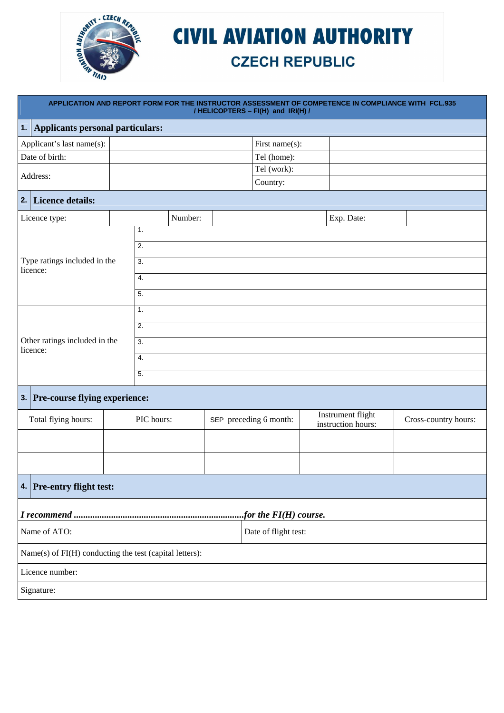

## **CIVIL AVIATION AUTHORITY**

## **CZECH REPUBLIC**

|                           | APPLICATION AND REPORT FORM FOR THE INSTRUCTOR ASSESSMENT OF COMPETENCE IN COMPLIANCE WITH FCL.935<br>/ HELICOPTERS - FI(H) and IRI(H) / |  |                  |         |  |                         |  |                    |                      |
|---------------------------|------------------------------------------------------------------------------------------------------------------------------------------|--|------------------|---------|--|-------------------------|--|--------------------|----------------------|
| 1.                        | <b>Applicants personal particulars:</b>                                                                                                  |  |                  |         |  |                         |  |                    |                      |
| Applicant's last name(s): |                                                                                                                                          |  |                  |         |  | First name(s):          |  |                    |                      |
|                           | Date of birth:                                                                                                                           |  |                  |         |  | Tel (home):             |  |                    |                      |
|                           | Address:                                                                                                                                 |  |                  |         |  | Tel (work):             |  |                    |                      |
|                           |                                                                                                                                          |  |                  |         |  | Country:                |  |                    |                      |
|                           | 2. Licence details:                                                                                                                      |  |                  |         |  |                         |  |                    |                      |
|                           | Licence type:                                                                                                                            |  |                  | Number: |  |                         |  | Exp. Date:         |                      |
|                           |                                                                                                                                          |  | 1.               |         |  |                         |  |                    |                      |
|                           |                                                                                                                                          |  | 2.               |         |  |                         |  |                    |                      |
|                           | Type ratings included in the<br>licence:                                                                                                 |  | $\overline{3}$ . |         |  |                         |  |                    |                      |
|                           |                                                                                                                                          |  | 4.               |         |  |                         |  |                    |                      |
|                           |                                                                                                                                          |  | $\overline{5}$ . |         |  |                         |  |                    |                      |
|                           |                                                                                                                                          |  | 1.               |         |  |                         |  |                    |                      |
|                           |                                                                                                                                          |  | $\overline{2}$ . |         |  |                         |  |                    |                      |
|                           | Other ratings included in the                                                                                                            |  | $\overline{3}$ . |         |  |                         |  |                    |                      |
|                           | licence:                                                                                                                                 |  | 4.               |         |  |                         |  |                    |                      |
|                           |                                                                                                                                          |  | 5.               |         |  |                         |  |                    |                      |
|                           | 3. Pre-course flying experience:                                                                                                         |  |                  |         |  |                         |  |                    |                      |
|                           |                                                                                                                                          |  |                  |         |  |                         |  | Instrument flight  |                      |
|                           | Total flying hours:                                                                                                                      |  | PIC hours:       |         |  | SEP preceding 6 month:  |  | instruction hours: | Cross-country hours: |
|                           |                                                                                                                                          |  |                  |         |  |                         |  |                    |                      |
|                           |                                                                                                                                          |  |                  |         |  |                         |  |                    |                      |
|                           | 4. Pre-entry flight test:                                                                                                                |  |                  |         |  |                         |  |                    |                      |
|                           |                                                                                                                                          |  |                  |         |  | for the $FI(H)$ course. |  |                    |                      |
|                           | Name of ATO:<br>Date of flight test:                                                                                                     |  |                  |         |  |                         |  |                    |                      |
|                           | Name(s) of FI(H) conducting the test (capital letters):                                                                                  |  |                  |         |  |                         |  |                    |                      |
|                           | Licence number:                                                                                                                          |  |                  |         |  |                         |  |                    |                      |
|                           | Signature:                                                                                                                               |  |                  |         |  |                         |  |                    |                      |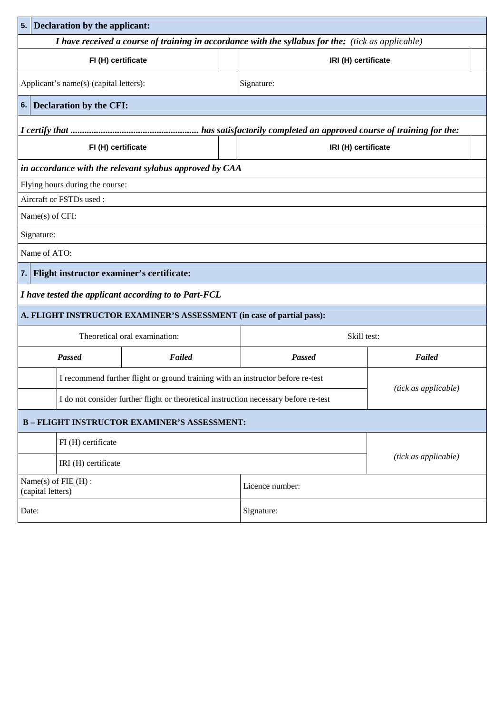| 5.                                                                                                 | Declaration by the applicant:                  |                                                                                      |  |                      |                      |  |  |
|----------------------------------------------------------------------------------------------------|------------------------------------------------|--------------------------------------------------------------------------------------|--|----------------------|----------------------|--|--|
| I have received a course of training in accordance with the syllabus for the: (tick as applicable) |                                                |                                                                                      |  |                      |                      |  |  |
|                                                                                                    | FI (H) certificate<br>IRI (H) certificate      |                                                                                      |  |                      |                      |  |  |
|                                                                                                    | Applicant's name(s) (capital letters):         |                                                                                      |  | Signature:           |                      |  |  |
| 6.                                                                                                 | Declaration by the CFI:                        |                                                                                      |  |                      |                      |  |  |
|                                                                                                    |                                                |                                                                                      |  |                      |                      |  |  |
|                                                                                                    | FI (H) certificate                             |                                                                                      |  | IRI (H) certificate  |                      |  |  |
|                                                                                                    |                                                | in accordance with the relevant sylabus approved by CAA                              |  |                      |                      |  |  |
|                                                                                                    | Flying hours during the course:                |                                                                                      |  |                      |                      |  |  |
|                                                                                                    | Aircraft or FSTDs used:                        |                                                                                      |  |                      |                      |  |  |
|                                                                                                    | Name(s) of CFI:                                |                                                                                      |  |                      |                      |  |  |
|                                                                                                    | Signature:                                     |                                                                                      |  |                      |                      |  |  |
|                                                                                                    | Name of ATO:                                   |                                                                                      |  |                      |                      |  |  |
| 7.1                                                                                                | Flight instructor examiner's certificate:      |                                                                                      |  |                      |                      |  |  |
|                                                                                                    |                                                | I have tested the applicant according to to Part-FCL                                 |  |                      |                      |  |  |
|                                                                                                    |                                                | A. FLIGHT INSTRUCTOR EXAMINER'S ASSESSMENT (in case of partial pass):                |  |                      |                      |  |  |
|                                                                                                    | Skill test:<br>Theoretical oral examination:   |                                                                                      |  |                      |                      |  |  |
|                                                                                                    | <b>Passed</b>                                  | Failed                                                                               |  | <b>Passed</b>        | Failed               |  |  |
|                                                                                                    |                                                | I recommend further flight or ground training with an instructor before re-test      |  |                      |                      |  |  |
|                                                                                                    |                                                | I do not consider further flight or theoretical instruction necessary before re-test |  |                      | (tick as applicable) |  |  |
| <b>B-FLIGHT INSTRUCTOR EXAMINER'S ASSESSMENT:</b>                                                  |                                                |                                                                                      |  |                      |                      |  |  |
|                                                                                                    | FI (H) certificate                             |                                                                                      |  |                      |                      |  |  |
| IRI (H) certificate                                                                                |                                                |                                                                                      |  | (tick as applicable) |                      |  |  |
|                                                                                                    | Name $(s)$ of FIE $(H)$ :<br>(capital letters) |                                                                                      |  | Licence number:      |                      |  |  |
| Date:                                                                                              |                                                |                                                                                      |  | Signature:           |                      |  |  |